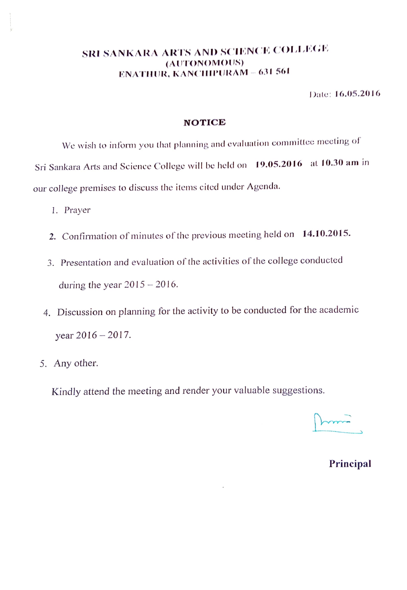### SRI SANKARA ARTS AND SCIENCE COLLEGE (AUTONOMOUS) ENATHUR, KANCHIPURAM - 631 561

Dale: 16.05.2016

#### NOTICE

We wish to inform you that planning and evaluation committec mccting of Sri Sankara Arts and Science College will be held on 19.05.2016 at 10.30 am in our college premises to discuss the items cited under Agenda.

- 1. Prayer
- 2. Confirmation of minutes of the previous meeting held on 14.10.2015.
- 3. Presentation and evaluation of the activities of the college conducted during the year  $2015 - 2016$ .
- 4. Discussion on planning for the activity to be conducted for the academic year 2016-2017.
- 5. Any other.

Kindly attend the meeting and render your valuable suggestions.

Principal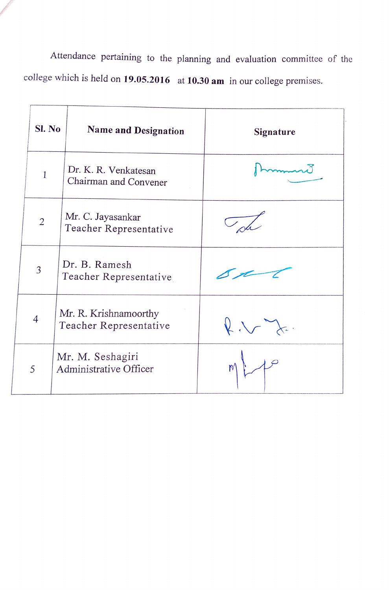Attendance pertaining to the planning and evaluation committee of the college which is held on 19.05.2016 at 10.30 am in our college premises.

| Sl. No         | <b>Name and Designation</b>                     | <b>Signature</b> |
|----------------|-------------------------------------------------|------------------|
| $\mathbf{1}$   | Dr. K. R. Venkatesan<br>Chairman and Convener   |                  |
| $\overline{2}$ | Mr. C. Jayasankar<br>Teacher Representative     |                  |
| 3              | Dr. B. Ramesh<br>Teacher Representative         |                  |
| $\overline{4}$ | Mr. R. Krishnamoorthy<br>Teacher Representative | $k \vee$         |
| 5              | Mr. M. Seshagiri<br>Administrative Officer      |                  |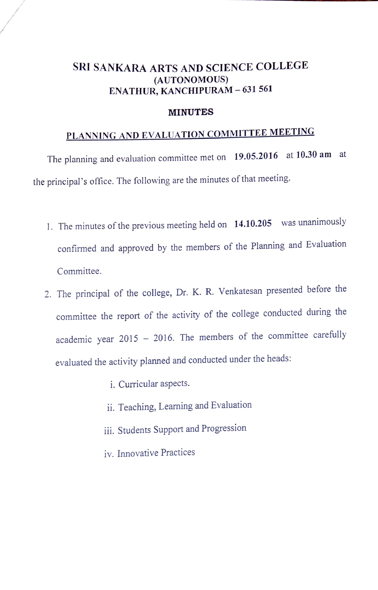## SRI SANKARA ARTS AND SCIENCE COLLEGE (AUTONOMOUS) ENATHUR, KANCHIPURAM - 631 561

#### MINUTES

# PLANNING AND EVALUATION COMMITTEE MEETING

The planning and evaluation committee met on 19.05.2016 at 10.30 am at the principal's office. The following are the minutes of that meeting.

- 1. The minutes of the previous meeting held on 14.10.205 was unanimously confirmed and approved by the members of the Planning and Evaluation Committee.
- 2. The principal of the college, Dr. K. R. Venkatesan presented before the committee the report of the activity of the college conducted during the academic year 2015 - 2016. The members of the committee carefully evaluated the activity planned and conducted under the heads
	- i. Curricular aspects.
	- ii. Teaching, Learning and Evaluation
	- ii. Students Support and Progression
	- iv. Innovative Practices